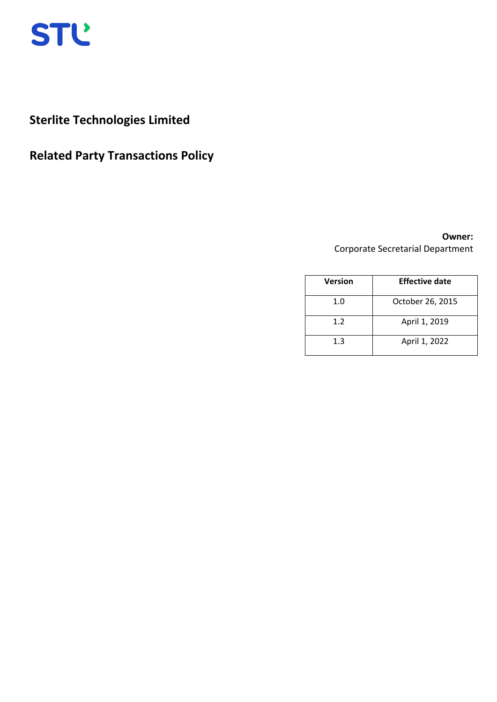

# **Sterlite Technologies Limited**

# **Related Party Transactions Policy**

# **Owner:**  Corporate Secretarial Department

| <b>Version</b> | <b>Effective date</b> |
|----------------|-----------------------|
| 1.0            | October 26, 2015      |
| 1.2            | April 1, 2019         |
| 1.3            | April 1, 2022         |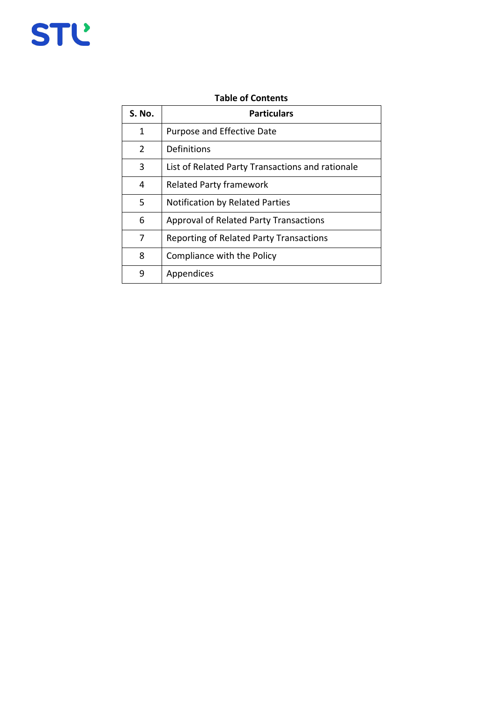# STĽ

# **Table of Contents**

| S. No.         | <b>Particulars</b>                               |
|----------------|--------------------------------------------------|
| 1              | <b>Purpose and Effective Date</b>                |
| $\overline{2}$ | Definitions                                      |
| 3              | List of Related Party Transactions and rationale |
| 4              | <b>Related Party framework</b>                   |
| 5              | <b>Notification by Related Parties</b>           |
| 6              | Approval of Related Party Transactions           |
| 7              | Reporting of Related Party Transactions          |
| 8              | Compliance with the Policy                       |
| 9              | Appendices                                       |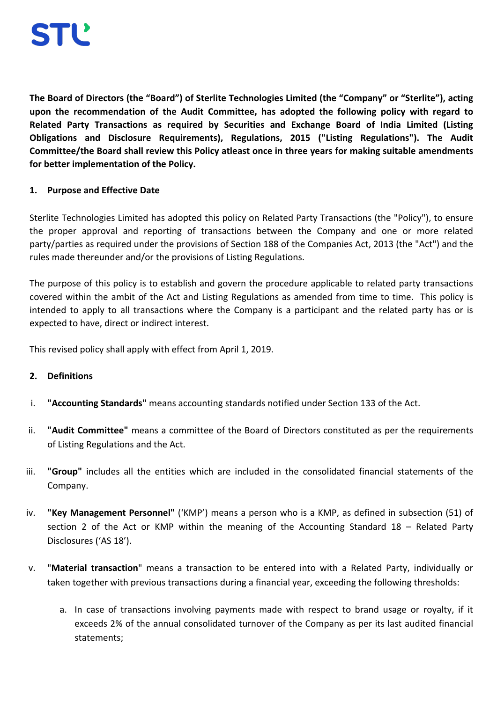**The Board of Directors (the "Board") of Sterlite Technologies Limited (the "Company" or "Sterlite"), acting upon the recommendation of the Audit Committee, has adopted the following policy with regard to Related Party Transactions as required by Securities and Exchange Board of India Limited (Listing Obligations and Disclosure Requirements), Regulations, 2015 ("Listing Regulations"). The Audit Committee/the Board shall review this Policy atleast once in three years for making suitable amendments for better implementation of the Policy.**

# **1. Purpose and Effective Date**

Sterlite Technologies Limited has adopted this policy on Related Party Transactions (the "Policy"), to ensure the proper approval and reporting of transactions between the Company and one or more related party/parties as required under the provisions of Section 188 of the Companies Act, 2013 (the "Act") and the rules made thereunder and/or the provisions of Listing Regulations.

The purpose of this policy is to establish and govern the procedure applicable to related party transactions covered within the ambit of the Act and Listing Regulations as amended from time to time. This policy is intended to apply to all transactions where the Company is a participant and the related party has or is expected to have, direct or indirect interest.

This revised policy shall apply with effect from April 1, 2019.

# **2. Definitions**

- i. **"Accounting Standards"** means accounting standards notified under Section 133 of the Act.
- ii. **"Audit Committee"** means a committee of the Board of Directors constituted as per the requirements of Listing Regulations and the Act.
- iii. **"Group"** includes all the entities which are included in the consolidated financial statements of the Company.
- iv. **"Key Management Personnel"** ('KMP') means a person who is a KMP, as defined in subsection (51) of section 2 of the Act or KMP within the meaning of the Accounting Standard 18 – Related Party Disclosures ('AS 18').
- v. "**Material transaction**" means a transaction to be entered into with a Related Party, individually or taken together with previous transactions during a financial year, exceeding the following thresholds:
	- a. In case of transactions involving payments made with respect to brand usage or royalty, if it exceeds 2% of the annual consolidated turnover of the Company as per its last audited financial statements;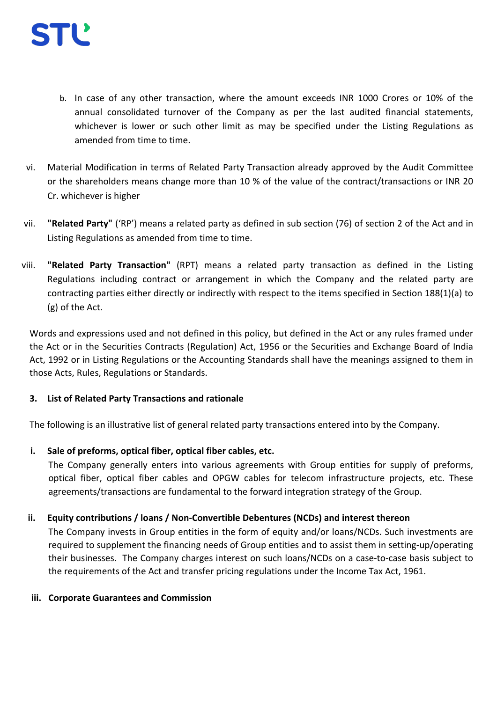- b. In case of any other transaction, where the amount exceeds INR 1000 Crores or 10% of the annual consolidated turnover of the Company as per the last audited financial statements, whichever is lower or such other limit as may be specified under the Listing Regulations as amended from time to time.
- vi. Material Modification in terms of Related Party Transaction already approved by the Audit Committee or the shareholders means change more than 10 % of the value of the contract/transactions or INR 20 Cr. whichever is higher
- vii. **"Related Party"** ('RP') means a related party as defined in sub section (76) of section 2 of the Act and in Listing Regulations as amended from time to time.
- viii. **"Related Party Transaction"** (RPT) means a related party transaction as defined in the Listing Regulations including contract or arrangement in which the Company and the related party are contracting parties either directly or indirectly with respect to the items specified in Section 188(1)(a) to (g) of the Act.

Words and expressions used and not defined in this policy, but defined in the Act or any rules framed under the Act or in the Securities Contracts (Regulation) Act, 1956 or the Securities and Exchange Board of India Act, 1992 or in Listing Regulations or the Accounting Standards shall have the meanings assigned to them in those Acts, Rules, Regulations or Standards.

# **3. List of Related Party Transactions and rationale**

The following is an illustrative list of general related party transactions entered into by the Company.

# **i. Sale of preforms, optical fiber, optical fiber cables, etc.**

The Company generally enters into various agreements with Group entities for supply of preforms, optical fiber, optical fiber cables and OPGW cables for telecom infrastructure projects, etc. These agreements/transactions are fundamental to the forward integration strategy of the Group.

# **ii. Equity contributions / loans / Non-Convertible Debentures (NCDs) and interest thereon**

The Company invests in Group entities in the form of equity and/or loans/NCDs. Such investments are required to supplement the financing needs of Group entities and to assist them in setting-up/operating their businesses. The Company charges interest on such loans/NCDs on a case-to-case basis subject to the requirements of the Act and transfer pricing regulations under the Income Tax Act, 1961.

# **iii. Corporate Guarantees and Commission**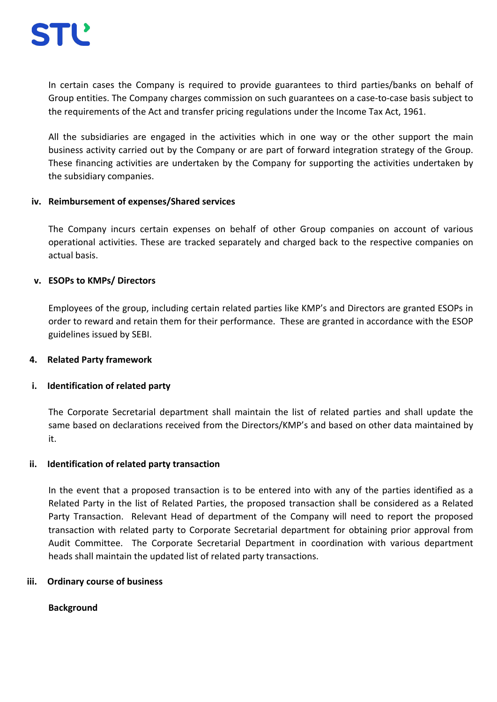In certain cases the Company is required to provide guarantees to third parties/banks on behalf of Group entities. The Company charges commission on such guarantees on a case-to-case basis subject to the requirements of the Act and transfer pricing regulations under the Income Tax Act, 1961.

All the subsidiaries are engaged in the activities which in one way or the other support the main business activity carried out by the Company or are part of forward integration strategy of the Group. These financing activities are undertaken by the Company for supporting the activities undertaken by the subsidiary companies.

## **iv. Reimbursement of expenses/Shared services**

The Company incurs certain expenses on behalf of other Group companies on account of various operational activities. These are tracked separately and charged back to the respective companies on actual basis.

## **v. ESOPs to KMPs/ Directors**

Employees of the group, including certain related parties like KMP's and Directors are granted ESOPs in order to reward and retain them for their performance. These are granted in accordance with the ESOP guidelines issued by SEBI.

#### **4. Related Party framework**

# **i. Identification of related party**

The Corporate Secretarial department shall maintain the list of related parties and shall update the same based on declarations received from the Directors/KMP's and based on other data maintained by it.

#### **ii. Identification of related party transaction**

In the event that a proposed transaction is to be entered into with any of the parties identified as a Related Party in the list of Related Parties, the proposed transaction shall be considered as a Related Party Transaction. Relevant Head of department of the Company will need to report the proposed transaction with related party to Corporate Secretarial department for obtaining prior approval from Audit Committee. The Corporate Secretarial Department in coordination with various department heads shall maintain the updated list of related party transactions.

#### **iii. Ordinary course of business**

# **Background**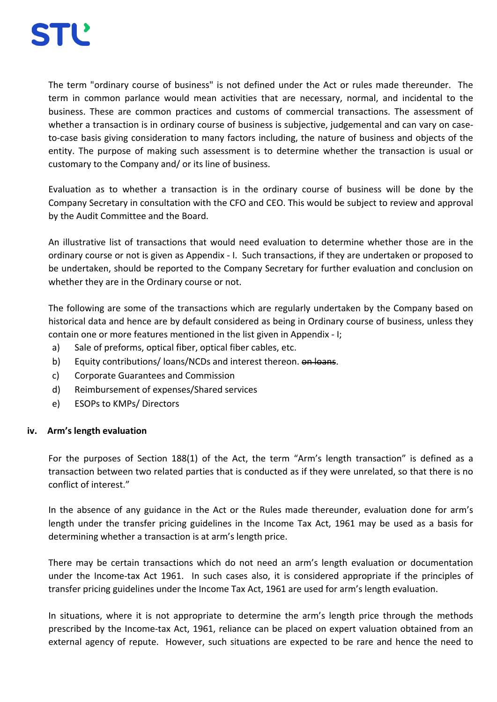

The term "ordinary course of business" is not defined under the Act or rules made thereunder. The term in common parlance would mean [activities](http://www.businessdictionary.com/definition/activity.html) that are necessary, normal, and incidental to the [business.](http://www.businessdictionary.com/definition/business.html) These are [common](http://www.businessdictionary.com/definition/common.html) [practices](http://www.businessdictionary.com/definition/practice.html) and [customs](http://www.businessdictionary.com/definition/customs.html) of [commercial transactions.](http://www.businessdictionary.com/definition/commercial-transaction.html) The assessment of whether a transaction is in ordinary course of business is subjective, judgemental and can vary on caseto-case basis giving consideration to many factors including, the nature of business and objects of the entity. The purpose of making such assessment is to determine whether the transaction is usual or customary to the Company and/ or its line of business.

Evaluation as to whether a transaction is in the ordinary course of business will be done by the Company Secretary in consultation with the CFO and CEO. This would be subject to review and approval by the Audit Committee and the Board.

An illustrative list of transactions that would need evaluation to determine whether those are in the ordinary course or not is given as Appendix - I. Such transactions, if they are undertaken or proposed to be undertaken, should be reported to the Company Secretary for further evaluation and conclusion on whether they are in the Ordinary course or not.

The following are some of the transactions which are regularly undertaken by the Company based on historical data and hence are by default considered as being in Ordinary course of business, unless they contain one or more features mentioned in the list given in Appendix - I;

- a) Sale of preforms, optical fiber, optical fiber cables, etc.
- b) Equity contributions/ loans/NCDs and interest thereon.  $\theta$  be loans.
- c) Corporate Guarantees and Commission
- d) Reimbursement of expenses/Shared services
- e) ESOPs to KMPs/ Directors

#### **iv. Arm's length evaluation**

For the purposes of Section 188(1) of the Act, the term "Arm's length transaction" is defined as a transaction between two related parties that is conducted as if they were unrelated, so that there is no conflict of interest."

In the absence of any guidance in the Act or the Rules made thereunder, evaluation done for arm's length under the transfer pricing guidelines in the Income Tax Act, 1961 may be used as a basis for determining whether a transaction is at arm's length price.

There may be certain transactions which do not need an arm's length evaluation or documentation under the Income-tax Act 1961. In such cases also, it is considered appropriate if the principles of transfer pricing guidelines under the Income Tax Act, 1961 are used for arm's length evaluation.

In situations, where it is not appropriate to determine the arm's length price through the methods prescribed by the Income-tax Act, 1961, reliance can be placed on expert valuation obtained from an external agency of repute. However, such situations are expected to be rare and hence the need to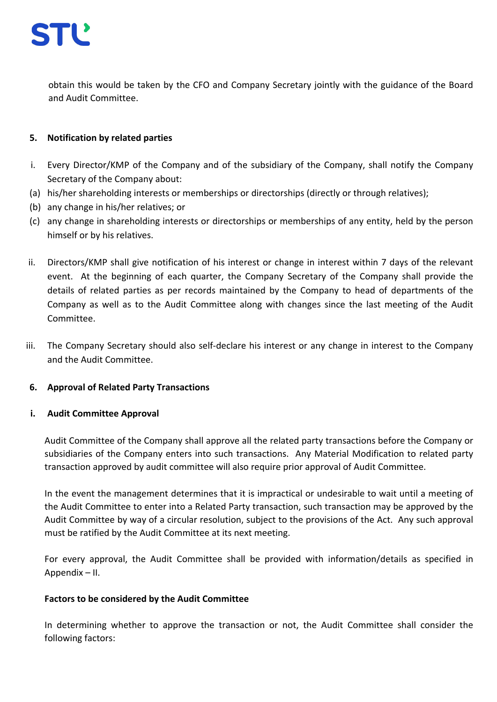

obtain this would be taken by the CFO and Company Secretary jointly with the guidance of the Board and Audit Committee.

## **5. Notification by related parties**

- i. Every Director/KMP of the Company and of the subsidiary of the Company, shall notify the Company Secretary of the Company about:
- (a) his/her shareholding interests or memberships or directorships (directly or through relatives);
- (b) any change in his/her relatives; or
- (c) any change in shareholding interests or directorships or memberships of any entity, held by the person himself or by his relatives.
- ii. Directors/KMP shall give notification of his interest or change in interest within 7 days of the relevant event. At the beginning of each quarter, the Company Secretary of the Company shall provide the details of related parties as per records maintained by the Company to head of departments of the Company as well as to the Audit Committee along with changes since the last meeting of the Audit Committee.
- iii. The Company Secretary should also self-declare his interest or any change in interest to the Company and the Audit Committee.

#### **6. Approval of Related Party Transactions**

#### **i. Audit Committee Approval**

Audit Committee of the Company shall approve all the related party transactions before the Company or subsidiaries of the Company enters into such transactions. Any Material Modification to related party transaction approved by audit committee will also require prior approval of Audit Committee.

In the event the management determines that it is impractical or undesirable to wait until a meeting of the Audit Committee to enter into a Related Party transaction, such transaction may be approved by the Audit Committee by way of a circular resolution, subject to the provisions of the Act. Any such approval must be ratified by the Audit Committee at its next meeting.

For every approval, the Audit Committee shall be provided with information/details as specified in Appendix – II.

#### **Factors to be considered by the Audit Committee**

In determining whether to approve the transaction or not, the Audit Committee shall consider the following factors: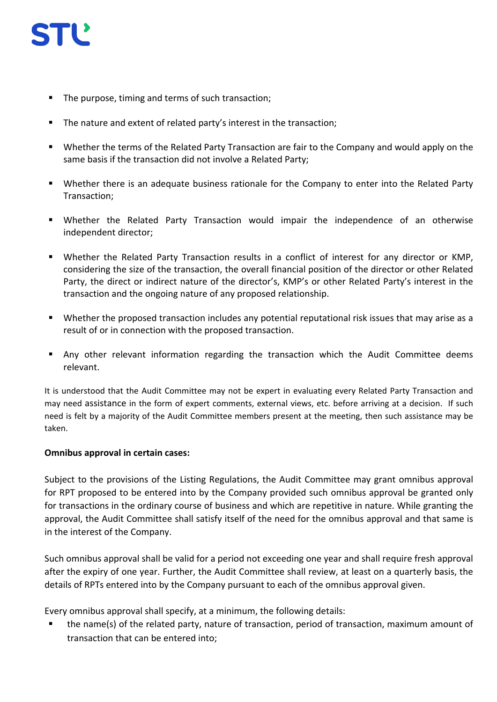

- The purpose, timing and terms of such transaction:
- The nature and extent of related party's interest in the transaction;
- Whether the terms of the Related Party Transaction are fair to the Company and would apply on the same basis if the transaction did not involve a Related Party;
- Whether there is an adequate business rationale for the Company to enter into the Related Party Transaction;
- Whether the Related Party Transaction would impair the independence of an otherwise independent director;
- Whether the Related Party Transaction results in a conflict of interest for any director or KMP, considering the size of the transaction, the overall financial position of the director or other Related Party, the direct or indirect nature of the director's, KMP's or other Related Party's interest in the transaction and the ongoing nature of any proposed relationship.
- Whether the proposed transaction includes any potential reputational risk issues that may arise as a result of or in connection with the proposed transaction.
- Any other relevant information regarding the transaction which the Audit Committee deems relevant.

It is understood that the Audit Committee may not be expert in evaluating every Related Party Transaction and may need assistance in the form of expert comments, external views, etc. before arriving at a decision. If such need is felt by a majority of the Audit Committee members present at the meeting, then such assistance may be taken.

#### **Omnibus approval in certain cases:**

Subject to the provisions of the Listing Regulations, the Audit Committee may grant omnibus approval for RPT proposed to be entered into by the Company provided such omnibus approval be granted only for transactions in the ordinary course of business and which are repetitive in nature. While granting the approval, the Audit Committee shall satisfy itself of the need for the omnibus approval and that same is in the interest of the Company.

Such omnibus approval shall be valid for a period not exceeding one year and shall require fresh approval after the expiry of one year. Further, the Audit Committee shall review, at least on a quarterly basis, the details of RPTs entered into by the Company pursuant to each of the omnibus approval given.

Every omnibus approval shall specify, at a minimum, the following details:

 the name(s) of the related party, nature of transaction, period of transaction, maximum amount of transaction that can be entered into;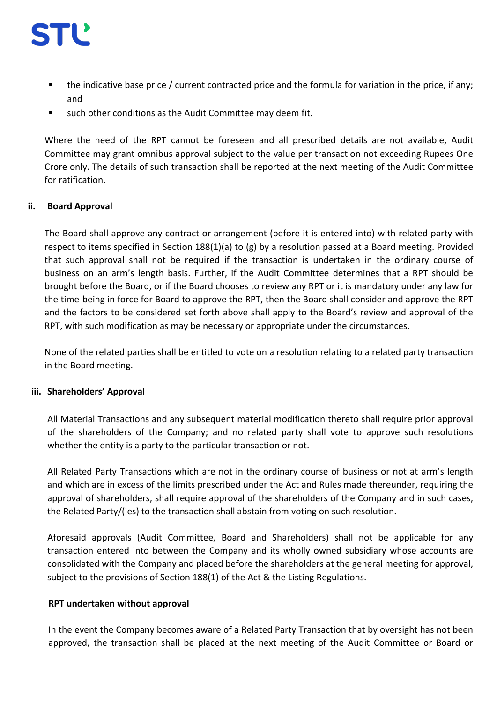

- the indicative base price / current contracted price and the formula for variation in the price, if any; and
- such other conditions as the Audit Committee may deem fit.

Where the need of the RPT cannot be foreseen and all prescribed details are not available, Audit Committee may grant omnibus approval subject to the value per transaction not exceeding Rupees One Crore only. The details of such transaction shall be reported at the next meeting of the Audit Committee for ratification.

## **ii. Board Approval**

The Board shall approve any contract or arrangement (before it is entered into) with related party with respect to items specified in Section 188(1)(a) to (g) by a resolution passed at a Board meeting. Provided that such approval shall not be required if the transaction is undertaken in the ordinary course of business on an arm's length basis. Further, if the Audit Committee determines that a RPT should be brought before the Board, or if the Board chooses to review any RPT or it is mandatory under any law for the time-being in force for Board to approve the RPT, then the Board shall consider and approve the RPT and the factors to be considered set forth above shall apply to the Board's review and approval of the RPT, with such modification as may be necessary or appropriate under the circumstances.

None of the related parties shall be entitled to vote on a resolution relating to a related party transaction in the Board meeting.

#### **iii. Shareholders' Approval**

All Material Transactions and any subsequent material modification thereto shall require prior approval of the shareholders of the Company; and no related party shall vote to approve such resolutions whether the entity is a party to the particular transaction or not.

All Related Party Transactions which are not in the ordinary course of business or not at arm's length and which are in excess of the limits prescribed under the Act and Rules made thereunder, requiring the approval of shareholders, shall require approval of the shareholders of the Company and in such cases, the Related Party/(ies) to the transaction shall abstain from voting on such resolution.

Aforesaid approvals (Audit Committee, Board and Shareholders) shall not be applicable for any transaction entered into between the Company and its wholly owned subsidiary whose accounts are consolidated with the Company and placed before the shareholders at the general meeting for approval, subject to the provisions of Section 188(1) of the Act & the Listing Regulations.

#### **RPT undertaken without approval**

In the event the Company becomes aware of a Related Party Transaction that by oversight has not been approved, the transaction shall be placed at the next meeting of the Audit Committee or Board or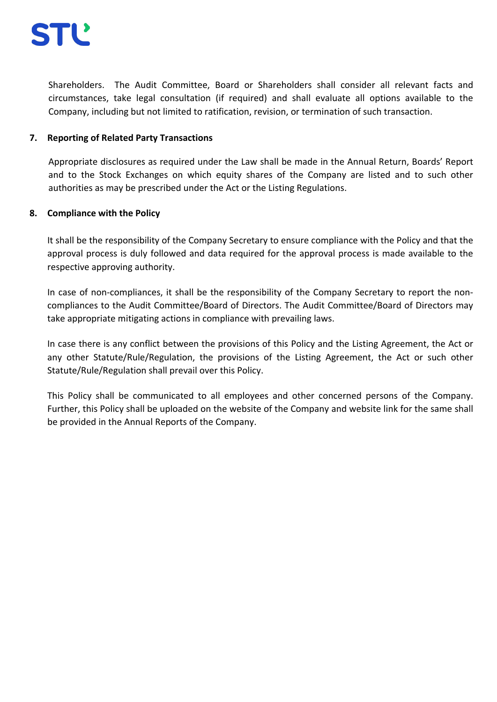

Shareholders. The Audit Committee, Board or Shareholders shall consider all relevant facts and circumstances, take legal consultation (if required) and shall evaluate all options available to the Company, including but not limited to ratification, revision, or termination of such transaction.

#### **7. Reporting of Related Party Transactions**

Appropriate disclosures as required under the Law shall be made in the Annual Return, Boards' Report and to the Stock Exchanges on which equity shares of the Company are listed and to such other authorities as may be prescribed under the Act or the Listing Regulations.

#### **8. Compliance with the Policy**

It shall be the responsibility of the Company Secretary to ensure compliance with the Policy and that the approval process is duly followed and data required for the approval process is made available to the respective approving authority.

In case of non-compliances, it shall be the responsibility of the Company Secretary to report the noncompliances to the Audit Committee/Board of Directors. The Audit Committee/Board of Directors may take appropriate mitigating actions in compliance with prevailing laws.

In case there is any conflict between the provisions of this Policy and the Listing Agreement, the Act or any other Statute/Rule/Regulation, the provisions of the Listing Agreement, the Act or such other Statute/Rule/Regulation shall prevail over this Policy.

This Policy shall be communicated to all employees and other concerned persons of the Company. Further, this Policy shall be uploaded on the website of the Company and website link for the same shall be provided in the Annual Reports of the Company.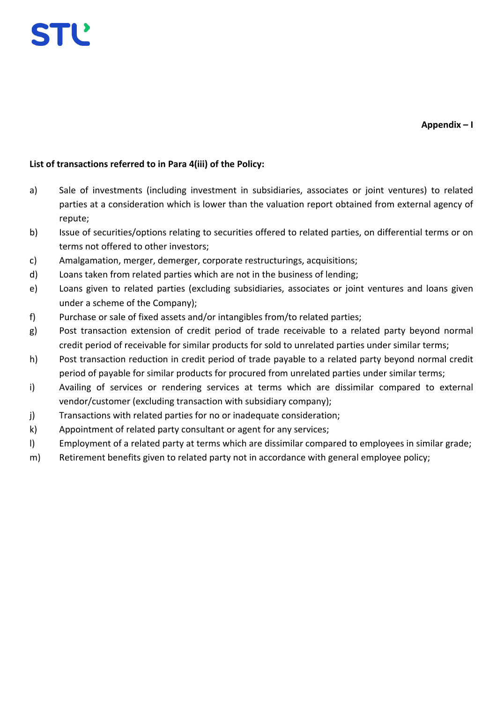

# **List of transactions referred to in Para 4(iii) of the Policy:**

- a) Sale of investments (including investment in subsidiaries, associates or joint ventures) to related parties at a consideration which is lower than the valuation report obtained from external agency of repute;
- b) Issue of securities/options relating to securities offered to related parties, on differential terms or on terms not offered to other investors;
- c) Amalgamation, merger, demerger, corporate restructurings, acquisitions;
- d) Loans taken from related parties which are not in the business of lending;
- e) Loans given to related parties (excluding subsidiaries, associates or joint ventures and loans given under a scheme of the Company);
- f) Purchase or sale of fixed assets and/or intangibles from/to related parties;
- g) Post transaction extension of credit period of trade receivable to a related party beyond normal credit period of receivable for similar products for sold to unrelated parties under similar terms;
- h) Post transaction reduction in credit period of trade payable to a related party beyond normal credit period of payable for similar products for procured from unrelated parties under similar terms;
- i) Availing of services or rendering services at terms which are dissimilar compared to external vendor/customer (excluding transaction with subsidiary company);
- j) Transactions with related parties for no or inadequate consideration;
- k) Appointment of related party consultant or agent for any services;
- l) Employment of a related party at terms which are dissimilar compared to employees in similar grade;
- m) Retirement benefits given to related party not in accordance with general employee policy;